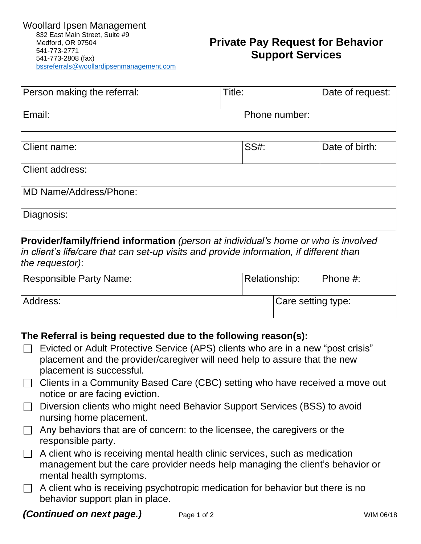## **Private Pay Request for Behavior Support Services**

| Person making the referral: | Title: |               | Date of request: |
|-----------------------------|--------|---------------|------------------|
| Email:                      |        | Phone number: |                  |

| Client name:           | <b>SS#:</b> | Date of birth: |
|------------------------|-------------|----------------|
| <b>Client address:</b> |             |                |
| MD Name/Address/Phone: |             |                |
| Diagnosis:             |             |                |

**Provider/family/friend information** *(person at individual's home or who is involved in client's life/care that can set-up visits and provide information, if different than the requestor)*:

| Responsible Party Name: | <b>Relationship:</b> |  | Phone #: |
|-------------------------|----------------------|--|----------|
| Address:                | Care setting type:   |  |          |

## **The Referral is being requested due to the following reason(s):**

- $\Box$  Evicted or Adult Protective Service (APS) clients who are in a new "post crisis" placement and the provider/caregiver will need help to assure that the new placement is successful.
- $\Box$  Clients in a Community Based Care (CBC) setting who have received a move out notice or are facing eviction.
- □ Diversion clients who might need Behavior Support Services (BSS) to avoid nursing home placement.
- $\Box$  Any behaviors that are of concern: to the licensee, the caregivers or the responsible party.
- $\Box$  A client who is receiving mental health clinic services, such as medication management but the care provider needs help managing the client's behavior or mental health symptoms.
- $\Box$  A client who is receiving psychotropic medication for behavior but there is no behavior support plan in place.

## **(Continued on next page.)** Page 1 of 2 WIM 06/18